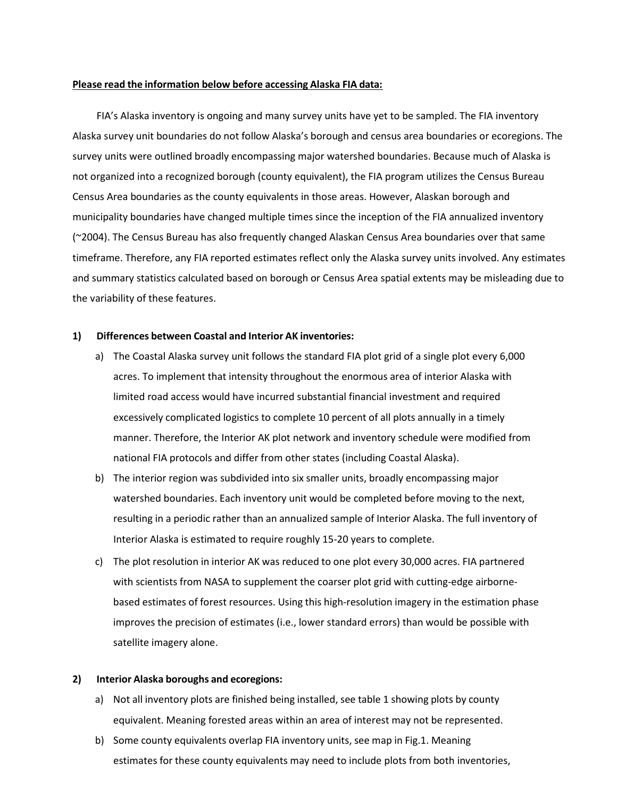## Please read the information below before accessing Alaska FIA data:

FIA's Alaska inventory is ongoing and many survey units have yet to be sampled. The FIA inventory Alaska survey unit boundaries do not follow Alaska's borough and census area boundaries or ecoregions. The survey units were outlined broadly encompassing major watershed boundaries. Because much of Alaska is not organized into a recognized borough (county equivalent), the FIA program utilizes the Census Bureau Census Area boundaries as the county equivalents in those areas. However, Alaskan borough and municipality boundaries have changed multiple times since the inception of the FIA annualized inventory (~2004). The Census Bureau has also frequently changed Alaskan Census Area boundaries over that same timeframe. Therefore, any FIA reported estimates reflect only the Alaska survey units involved. Any estimates and summary statistics calculated based on borough or Census Area spatial extents may be misleading due to the variability of these features.

## 1) Differences between Coastal and Interior AK inventories:

- a) The Coastal Alaska survey unit follows the standard FIA plot grid of a single plot every 6,000 acres. To implement that intensity throughout the enormous area of interior Alaska with limited road access would have incurred substantial financial investment and required excessively complicated logistics to complete 10 percent of all plots annually in a timely manner. Therefore, the Interior AK plot network and inventory schedule were modified from national FIA protocols and differ from other states (including Coastal Alaska).
- b) The interior region was subdivided into six smaller units, broadly encompassing major watershed boundaries. Each inventory unit would be completed before moving to the next, resulting in a periodic rather than an annualized sample of Interior Alaska. The full inventory of Interior Alaska is estimated to require roughly 15-20 years to complete.
- c) The plot resolution in interior AK was reduced to one plot every 30,000 acres. FIA partnered with scientists from NASA to supplement the coarser plot grid with cutting-edge airbornebased estimates of forest resources. Using this high-resolution imagery in the estimation phase improves the precision of estimates (i.e., lower standard errors) than would be possible with satellite imagery alone.

## 2) Interior Alaska boroughs and ecoregions:

- a) Not all inventory plots are finished being installed, see table 1 showing plots by county equivalent. Meaning forested areas within an area of interest may not be represented.
- b) Some county equivalents overlap FIA inventory units, see map in Fig.1. Meaning estimates for these county equivalents may need to include plots from both inventories,